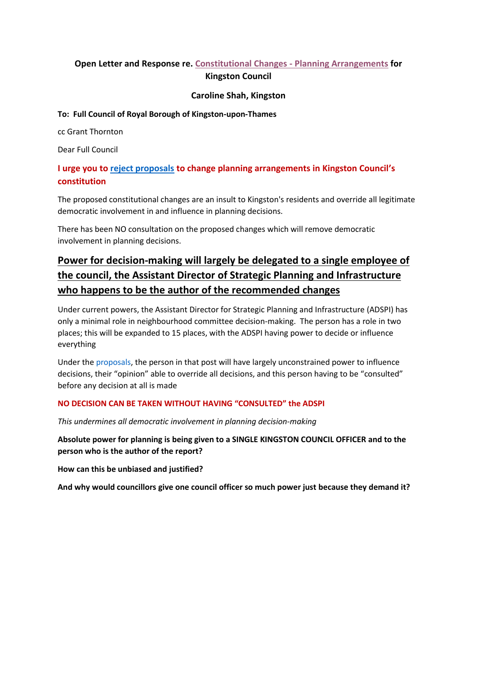# **Open Letter and Response re. Constitutional Changes - [Planning Arrangements](https://moderngov.kingston.gov.uk/ieIssueDetails.aspx?IId=45759&Opt=3) for Kingston Council**

### **Caroline Shah, Kingston**

### **To: Full Council of Royal Borough of Kingston-upon-Thames**

cc Grant Thornton

Dear Full Council

# **I urge you t[o reject proposals](https://moderngov.kingston.gov.uk/documents/s90628/8a_Annexes%201%202%20-%20Terms%20of%20Reference%20Amendments.pdf) to change planning arrangements in Kingston Council's constitution**

The proposed constitutional changes are an insult to Kingston's residents and override all legitimate democratic involvement in and influence in planning decisions.

There has been NO consultation on the proposed changes which will remove democratic involvement in planning decisions.

# **Power for decision-making will largely be delegated to a single employee of the council, the Assistant Director of Strategic Planning and Infrastructure who happens to be the author of the recommended changes**

Under current powers, the Assistant Director for Strategic Planning and Infrastructure (ADSPI) has only a minimal role in neighbourhood committee decision-making. The person has a role in two places; this will be expanded to 15 places, with the ADSPI having power to decide or influence everything

Under the [proposals,](https://moderngov.kingston.gov.uk/documents/s90628/8a_Annexes%201%202%20-%20Terms%20of%20Reference%20Amendments.pdf) the person in that post will have largely unconstrained power to influence decisions, their "opinion" able to override all decisions, and this person having to be "consulted" before any decision at all is made

# **NO DECISION CAN BE TAKEN WITHOUT HAVING "CONSULTED" the ADSPI**

*This undermines all democratic involvement in planning decision-making*

**Absolute power for planning is being given to a SINGLE KINGSTON COUNCIL OFFICER and to the person who is the author of the report?** 

**How can this be unbiased and justified?**

**And why would councillors give one council officer so much power just because they demand it?**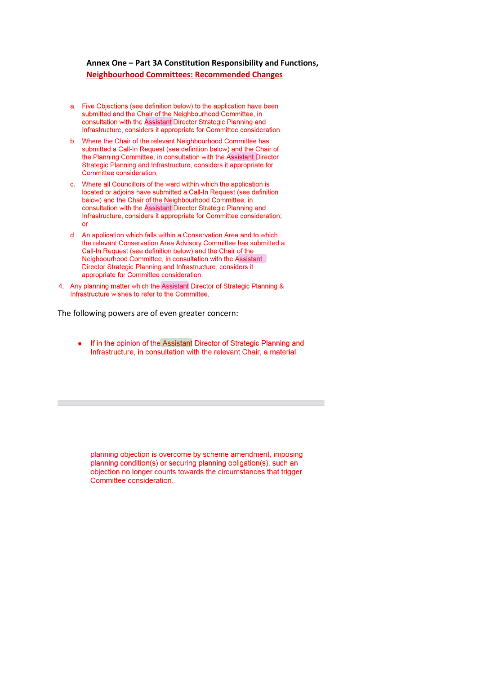### Annex One - Part 3A Constitution Responsibility and Functions, **Neighbourhood Committees: Recommended Changes**

- a. Five Objections (see definition below) to the application have been submitted and the Chair of the Neighbourhood Committee, in consultation with the Assistant Director Strategic Planning and Infrastructure, considers it appropriate for Committee consideration.
- b. Where the Chair of the relevant Neighbourhood Committee has submitted a Call-In Request (see definition below) and the Chair of the Planning Committee, in consultation with the Assistant Director Strategic Planning and Infrastructure, considers it appropriate for Committee consideration:
- c. Where all Councillors of the ward within which the application is located or adjoins have submitted a Call-In Request (see definition below) and the Chair of the Neighbourhood Committee, in consultation with the Assistant Director Strategic Planning and Infrastructure, considers it appropriate for Committee consideration:  $\alpha$ <sup>r</sup>
- d. An application which falls within a Conservation Area and to which the relevant Conservation Area Advisory Committee has submitted a Call-In Request (see definition below) and the Chair of the Neighbourhood Committee, in consultation with the Assistant Director Strategic Planning and Infrastructure, considers it appropriate for Committee consideration.
- 4. Any planning matter which the Assistant Director of Strategic Planning & Infrastructure wishes to refer to the Committee.

The following powers are of even greater concern:

If in the opinion of the Assistant Director of Strategic Planning and  $\bullet$ Infrastructure, in consultation with the relevant Chair, a material

planning objection is overcome by scheme amendment, imposing planning condition(s) or securing planning obligation(s), such an objection no longer counts towards the circumstances that trigger Committee consideration.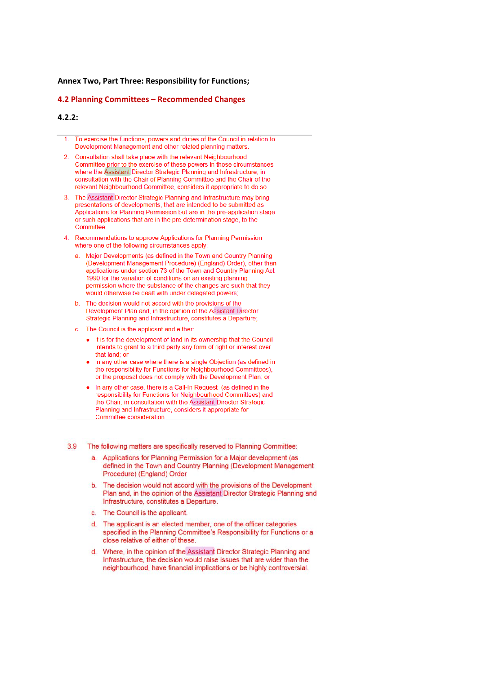#### **Annex Two, Part Three: Responsibility for Functions;**

#### 4.2 Planning Committees - Recommended Changes

#### $4.2.2:$

- To exercise the functions, powers and duties of the Council in relation to Development Management and other related planning matters.
- Consultation shall take place with the relevant Neighbourhood  $\overline{2}$ Committee prior to the exercise of these powers in those circumstances where the Assistant Director Strategic Planning and Infrastructure, in consultation with the Chair of Planning Committee and the Chair of the relevant Neighbourhood Committee, considers it appropriate to do so.
- $\overline{3}$ The Assistant Director Strategic Planning and Infrastructure may bring presentations of developments, that are intended to be submitted as Applications for Planning Permission but are in the pre-application stage or such applications that are in the pre-determination stage, to the Committee
- Recommendations to approve Applications for Planning Permission where one of the following circumstances apply:
	- Major Developments (as defined in the Town and Country Planning (Development Management Procedure) (England) Order), other than applications under section 73 of the Town and Country Planning Act 1990 for the variation of conditions on an existing planning permission where the substance of the changes are such that they would otherwise be dealt with under delegated powers;
	- The decision would not accord with the provisions of the  $\mathbf b$ Development Plan and, in the opinion of the Assistant Director Strategic Planning and Infrastructure, constitutes a Departure;
	- c. The Council is the applicant and either:
		- it is for the development of land in its ownership that the Council intends to grant to a third party any form of right or interest over that land: or
		- in any other case where there is a single Objection (as defined in the responsibility for Functions for Neighbourhood Committees), or the proposal does not comply with the Development Plan; or
		- In any other case, there is a Call-In Request (as defined in the responsibility for Functions for Neighbourhood Committees) and the Chair, in consultation with the Assistant Director Strategic Planning and Infrastructure, considers it appropriate for Committee consideration.
- $3.9$ The following matters are specifically reserved to Planning Committee:
	- a. Applications for Planning Permission for a Major development (as defined in the Town and Country Planning (Development Management Procedure) (England) Order
	- The decision would not accord with the provisions of the Development  $\mathbf{b}$ . Plan and, in the opinion of the Assistant Director Strategic Planning and Infrastructure, constitutes a Departure.
	- c. The Council is the applicant.
	- d. The applicant is an elected member, one of the officer categories specified in the Planning Committee's Responsibility for Functions or a close relative of either of these.
	- d. Where, in the opinion of the Assistant Director Strategic Planning and Infrastructure, the decision would raise issues that are wider than the neighbourhood, have financial implications or be highly controversial.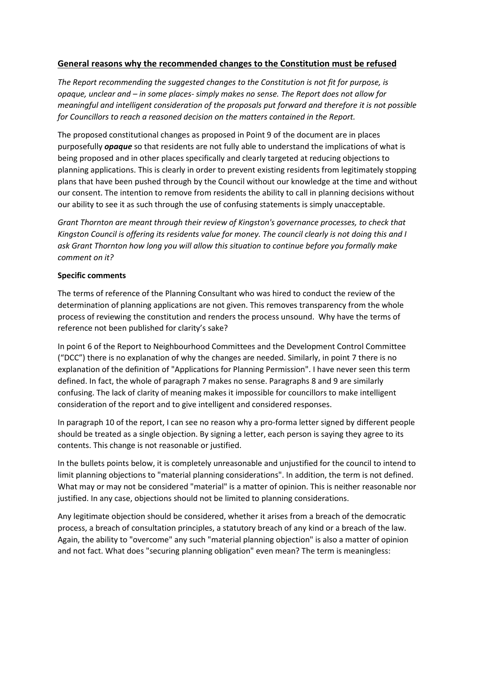# **General reasons why the recommended changes to the Constitution must be refused**

*The Report recommending the suggested changes to the Constitution is not fit for purpose, is opaque, unclear and – in some places- simply makes no sense. The Report does not allow for meaningful and intelligent consideration of the proposals put forward and therefore it is not possible for Councillors to reach a reasoned decision on the matters contained in the Report.*

The proposed constitutional changes as proposed in Point 9 of the document are in places purposefully *opaque* so that residents are not fully able to understand the implications of what is being proposed and in other places specifically and clearly targeted at reducing objections to planning applications. This is clearly in order to prevent existing residents from legitimately stopping plans that have been pushed through by the Council without our knowledge at the time and without our consent. The intention to remove from residents the ability to call in planning decisions without our ability to see it as such through the use of confusing statements is simply unacceptable.

*Grant Thornton are meant through their review of Kingston's governance processes, to check that Kingston Council is offering its residents value for money. The council clearly is not doing this and I ask Grant Thornton how long you will allow this situation to continue before you formally make comment on it?*

### **Specific comments**

The terms of reference of the Planning Consultant who was hired to conduct the review of the determination of planning applications are not given. This removes transparency from the whole process of reviewing the constitution and renders the process unsound. Why have the terms of reference not been published for clarity's sake?

In point 6 of the Report to Neighbourhood Committees and the Development Control Committee ("DCC") there is no explanation of why the changes are needed. Similarly, in point 7 there is no explanation of the definition of "Applications for Planning Permission". I have never seen this term defined. In fact, the whole of paragraph 7 makes no sense. Paragraphs 8 and 9 are similarly confusing. The lack of clarity of meaning makes it impossible for councillors to make intelligent consideration of the report and to give intelligent and considered responses.

In paragraph 10 of the report, I can see no reason why a pro-forma letter signed by different people should be treated as a single objection. By signing a letter, each person is saying they agree to its contents. This change is not reasonable or justified.

In the bullets points below, it is completely unreasonable and unjustified for the council to intend to limit planning objections to "material planning considerations". In addition, the term is not defined. What may or may not be considered "material" is a matter of opinion. This is neither reasonable nor justified. In any case, objections should not be limited to planning considerations.

Any legitimate objection should be considered, whether it arises from a breach of the democratic process, a breach of consultation principles, a statutory breach of any kind or a breach of the law. Again, the ability to "overcome" any such "material planning objection" is also a matter of opinion and not fact. What does "securing planning obligation" even mean? The term is meaningless: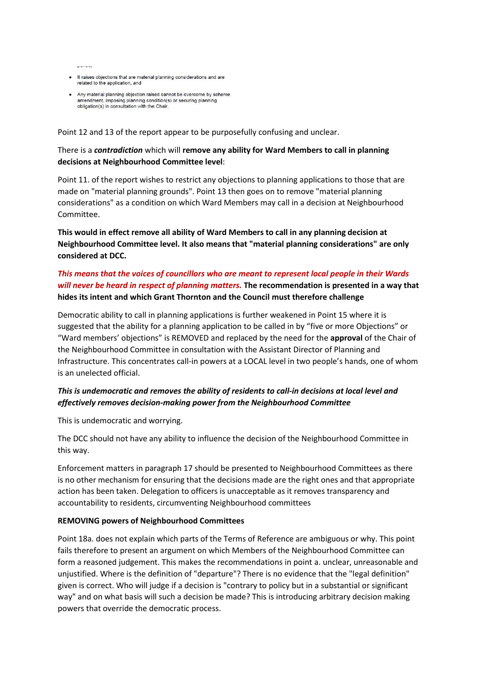$\mathbf{r}$  and  $\mathbf{r}$ 

- It raises objections that are material planning considerations and are related to the application, and
- Any material planning objection raised cannot be overcome by scheme amendment, imposing planning condition(s) or securing planning<br>obligation(s) in consultation with the Chair.

Point 12 and 13 of the report appear to be purposefully confusing and unclear.

# There is a *contradiction* which will **remove any ability for Ward Members to call in planning decisions at Neighbourhood Committee level**:

Point 11. of the report wishes to restrict any objections to planning applications to those that are made on "material planning grounds". Point 13 then goes on to remove "material planning considerations" as a condition on which Ward Members may call in a decision at Neighbourhood Committee.

**This would in effect remove all ability of Ward Members to call in any planning decision at Neighbourhood Committee level. It also means that "material planning considerations" are only considered at DCC.** 

# *This means that the voices of councillors who are meant to represent local people in their Wards will never be heard in respect of planning matters.* **The recommendation is presented in a way that hides its intent and which Grant Thornton and the Council must therefore challenge**

Democratic ability to call in planning applications is further weakened in Point 15 where it is suggested that the ability for a planning application to be called in by "five or more Objections" or "Ward members' objections" is REMOVED and replaced by the need for the **approval** of the Chair of the Neighbourhood Committee in consultation with the Assistant Director of Planning and Infrastructure. This concentrates call-in powers at a LOCAL level in two people's hands, one of whom is an unelected official.

# *This is undemocratic and removes the ability of residents to call-in decisions at local level and effectively removes decision-making power from the Neighbourhood Committee*

This is undemocratic and worrying.

The DCC should not have any ability to influence the decision of the Neighbourhood Committee in this way.

Enforcement matters in paragraph 17 should be presented to Neighbourhood Committees as there is no other mechanism for ensuring that the decisions made are the right ones and that appropriate action has been taken. Delegation to officers is unacceptable as it removes transparency and accountability to residents, circumventing Neighbourhood committees

### **REMOVING powers of Neighbourhood Committees**

Point 18a. does not explain which parts of the Terms of Reference are ambiguous or why. This point fails therefore to present an argument on which Members of the Neighbourhood Committee can form a reasoned judgement. This makes the recommendations in point a. unclear, unreasonable and unjustified. Where is the definition of "departure"? There is no evidence that the "legal definition" given is correct. Who will judge if a decision is "contrary to policy but in a substantial or significant way" and on what basis will such a decision be made? This is introducing arbitrary decision making powers that override the democratic process.